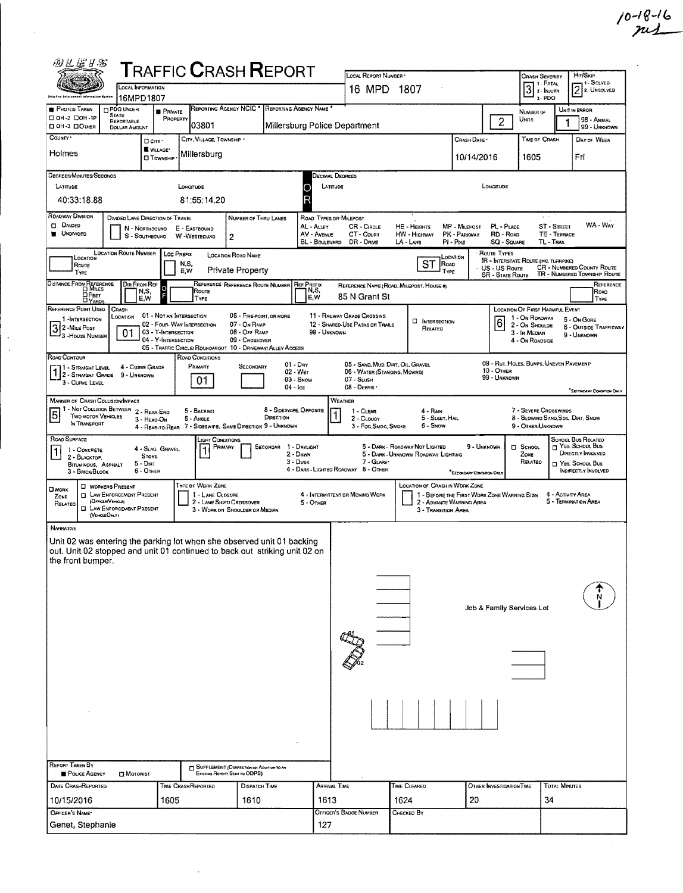| 四丛屋り名                                                                                                                                                                                        |                                                                          |                                            | <b>TRAFFIC CRASH REPORT</b>                                                                                          |                                                                                   |                                                                   |                                                                              | LOCAL REPORT NUMBER                                                                              |                                                                       |                                                                         |                                                       |                                                                                  |                      | <b>HIT/SKIP</b>                                                                                                      |
|----------------------------------------------------------------------------------------------------------------------------------------------------------------------------------------------|--------------------------------------------------------------------------|--------------------------------------------|----------------------------------------------------------------------------------------------------------------------|-----------------------------------------------------------------------------------|-------------------------------------------------------------------|------------------------------------------------------------------------------|--------------------------------------------------------------------------------------------------|-----------------------------------------------------------------------|-------------------------------------------------------------------------|-------------------------------------------------------|----------------------------------------------------------------------------------|----------------------|----------------------------------------------------------------------------------------------------------------------|
|                                                                                                                                                                                              | LOCAL INFORMATION<br>16MPD1807                                           |                                            |                                                                                                                      |                                                                                   |                                                                   |                                                                              | 16 MPD 1807                                                                                      |                                                                       |                                                                         |                                                       | <b>CRASH SEVERITY</b><br>1 - FATAL<br>3 <sup>1. FATAL</sup><br>a - PDO           |                      | 1 - SOLVED<br>$\sqrt{2}$ 2. Unsolved                                                                                 |
| <b>PHOTOS TAKEN</b><br>CI OH -2 CIOH -1P<br>DOH-3 DOMER                                                                                                                                      | <b>m</b> PDO UNDER<br><b>STATE</b><br>REPORTABLE<br><b>DOLLAR AMOUNT</b> | <b>PRNATE</b><br>PROPERTY                  | REPORTING AGENCY NCIC <sup>*</sup><br>03801                                                                          |                                                                                   | REPORTING AGENCY NAME<br>Millersburg Police Department            |                                                                              |                                                                                                  |                                                                       |                                                                         | $\overline{2}$                                        | NUMBER OF<br>UNITS                                                               | UNIT IN ERROR        | 98 - ANIMAL<br>99 - UNKNOWN                                                                                          |
| COUNTY <sup>.</sup><br>Holmes                                                                                                                                                                |                                                                          | D'ony *<br>WILLAGE*<br><b>O</b> Township   | CITY, VILLAGE, TOWNSHIP<br>Millersburg                                                                               |                                                                                   |                                                                   |                                                                              |                                                                                                  |                                                                       | CRASH DATE<br>10/14/2016                                                |                                                       | TIME OF CRASH<br>1605                                                            |                      | DAY OF WEEK<br>Fri                                                                                                   |
| DEGREES/MINUTES/SECONDS<br>LATITUDE<br>40:33:18.88                                                                                                                                           |                                                                          |                                            | LONGITUDE<br>81:55:14.20                                                                                             |                                                                                   | R                                                                 | Decimal Degrees<br>LATITUDE                                                  |                                                                                                  |                                                                       |                                                                         | LONGITUDE                                             |                                                                                  |                      |                                                                                                                      |
| <b>ROADWAY DIVISION</b><br><b>DI DIVIDED</b><br><b>UNDIVIDED</b>                                                                                                                             | DIVIDED LANE DIRECTION OF TRAVEL<br>N - NORTHBOUND<br>S - SOUTHBOUND     |                                            | E - EASTBOUND<br>W -WESTBOUND                                                                                        | NUMBER OF THRU LANES<br>$\overline{2}$                                            |                                                                   | ROAD TYPES OR MILEPOST<br>AL - ALLEY<br>AV - AVENUE<br><b>BL</b> - BOULEVARD | CR - CIRCLE<br>CT - Count<br>DR - DRME                                                           | HE - HEIGHTS<br><b>HW - HIGHWAY</b><br>LA - LANE                      | MP - Milepost<br>PK - PARKWAY<br>PI - Pike                              | PL - PLACE<br>RD - Row<br><b>SQ - SQUARE</b>          | $\omega = \omega = \pi$<br>ST - STREET<br>TL - TRAL                              | TE - TERRACE         | WA - WAY                                                                                                             |
| LOCATION<br>ROUTE<br>Type                                                                                                                                                                    | <b>LOCATION ROUTE NUMBER</b><br>DIR FROM REF                             | Loc Prerix                                 | N,S,<br>E,W                                                                                                          | <b>LOCATION ROAD NAME</b><br>Private Property<br>REFERENCE REFERENCE ROUTE NUMBER | <b>REF PREFIX</b>                                                 |                                                                              |                                                                                                  | ST<br><b>ROAD</b>                                                     | LOCATION<br>TYPE                                                        | ROUTE TYPES<br>US US Route<br><b>SR - STATE ROUTE</b> | IR - INTERSTATE ROUTE (INC. TURNPIKE)                                            |                      | <b>CR - NUMBERED COUNTY ROUTE</b><br>TR - NUMBERED TOWNSHIP ROUTE<br>REFERENCE                                       |
| Distance From Reference<br><b>DFEET</b><br>REFERENCE POINT USED                                                                                                                              | N,S,<br>E,W<br>CRASH                                                     | F                                          | Route<br>TYPE                                                                                                        |                                                                                   |                                                                   | N,S,<br>EW                                                                   | 85 N Grant St                                                                                    | REFERENCE NAME (ROAD, MILEPOST, HOUSE #)                              |                                                                         |                                                       | <b>LOCATION OF FIRST HARMFUL EVENT</b>                                           |                      | ROAD<br>TYPE                                                                                                         |
| 1-INTERSECTION<br>3 2 - Mite Post<br>3 - House NUMBER                                                                                                                                        | LOCATION<br>01                                                           | 03 - T-INTERSECTION<br>04 - Y-INTERSECTION | 01 - NOT AN INTERSECTION<br>02 - FOUR-WAY INTERSECTION<br>05 - TRAFFIC CIRCLE/ROUNDABOUT 10 - DRIVEWAY/ ALLEY ACCESS | 05 - FIVE-POINT, OR MORE<br>07 - On RAMP<br>08 - OFF RAMP<br>09 - CROSSOVER       |                                                                   | 99 - Unknown                                                                 | 11 - RAILWAY GRADE CROSSING<br>12 - SHARED-USE PATHS OR TRAILS                                   | <b>D</b> INTERSECTION<br>RELATED                                      |                                                                         | 16                                                    | 1 - On RDADWAY<br>2 - ON SHOULDE<br>3 - In Median<br>4 - On ROADSIDE             |                      | 5 - On Gore<br>6 - OUTSIDE TRAFFICWAY<br>9 - UNKNOWN                                                                 |
| ROAD CONTOUR<br>1 - Straight Level<br>1 - STRAIGHT LEVEL 4 - LURVE LIR<br>1 2 - STRAIGHT GRADE 9 - UNKNOWN<br>3 - CURVE LEVEL                                                                | 4 - Curve Grade                                                          |                                            | <b>ROAD CONDITIONS</b><br>PRIMARY<br>01                                                                              | SECONDARY                                                                         | $01 - \text{Day}$<br>02 - Wer<br>$03 -$ SNOW<br>$04 - \text{Ice}$ |                                                                              | 05 - SAND, MUD, DIRT, OIL, GRAVEL<br>06 - WATER (STANOING, MOVING)<br>07 - SLUSH<br>$08 -$ Deems |                                                                       |                                                                         | 10 - OTHER<br>99 - UNKNOWN                            | 09 - RUT, HOLES, BUMPS, UNEVEN PAVEMENT                                          |                      | *SECOKDARY CONDITION DWLY                                                                                            |
| <b>MANNER OF CRASH COLLISION/IMPACT</b><br>1 - Not Collision Between 2 - Rear-Eng<br>$\overline{5}$<br>TWO MOTOR VEHICLES<br>IN TRANSPORT                                                    | 3 - HEAD-ON                                                              |                                            | 5 - BACKING<br>6 - ANGLE<br>4 - REAR-TO-REAR 7 - SIDESWIPE, -SAME DIRECTION 9 - UNKNOWN                              |                                                                                   | 8 - Sideswipe, Opposite<br>DIRECTION                              | WEATHER                                                                      | 1 - CLEAR<br>2 - CLouav<br>3 - Fog.Smog.Smoke                                                    | $4 - R$ Ain<br>5 - SLEET, HAIL<br>6 - Snow                            |                                                                         |                                                       | 7 - SEVERE CROSSWINDS<br>8 - BLOWING SAND, SOIL, DIRT, SNOW<br>9 - OTHER/UNKNOWN |                      |                                                                                                                      |
| ROAD SURFACE<br>1 - CONCRETE<br>1<br>2 - BLACKTOP.<br>BITUMINOUS, ASPHALT<br>3 - BRICK BLOCK                                                                                                 | <b>STONE</b><br>$5 - Diff$<br>$6 -$ OTHER                                | 4 - SLAG, GRAVEL.                          | Light Conditions<br>PRIMARY                                                                                          |                                                                                   | SECONDAR 1 - DAYLIGHT<br>2 - DAWN<br>$3 - D$ usk                  |                                                                              | 7 - GLARE*<br>4 - DARK - LIGHTED ROADWAY 8 - OTHER                                               | 5 - DARK - ROADWAY NOT LIGHTED<br>5 - DARK - UNKNOWN ROADWAY LIGHTING | 9 - UNKNOWN<br><b>SECONDARY CONDITION ONLY</b>                          |                                                       | <b>D</b> School<br>ZONE<br>RELATED                                               |                      | <b>SCHOOL BUS RELATED</b><br>T YES, SCHOOL BUS<br>DIRECTLY INVOLVED<br>NES, SCHOOL BUS<br><b>INDIRECTLY INVOLVED</b> |
| <b>U</b> WORKERS PRESENT<br><b>CIWORK</b><br>D.<br>ZONE<br>(OFFICER/VEHICLE)<br>RELATED<br>o<br>(VEHOLEOM.Y)                                                                                 | LAW ENFORCEMENT PRESENT<br>LAW ENFORCEMENT PRESENT                       |                                            | TYPE OF WORK ZONE<br>1 - LANE CLOSURE<br>2 - LANE SHIFT/ CROSSOVER                                                   | 3 - WORK ON SHOULDER OR MEDIAN                                                    |                                                                   | 5 - OTHER                                                                    | 4 - INTERMITTENT OR MOVING WORK                                                                  | <b>LOCATION OF CRASH IN WORK ZONE</b><br>3 - TRANSITION AREA          | 1 - BEFORE THE FIRST WORK ZONE WARNING SIGN<br>2 - ADVANCE WARNING AREA |                                                       |                                                                                  | 4 - Activity Area    | 5 - TERMINATION AREA                                                                                                 |
| <b>NARRATNE</b><br>Unit 02 was entering the parking lot when she observed unit 01 backing<br>out. Unit 02 stopped and unit 01 continued to back out striking unit 02 on<br>the front bumper. |                                                                          |                                            |                                                                                                                      |                                                                                   |                                                                   |                                                                              |                                                                                                  |                                                                       |                                                                         |                                                       |                                                                                  |                      |                                                                                                                      |
|                                                                                                                                                                                              |                                                                          |                                            |                                                                                                                      |                                                                                   |                                                                   |                                                                              |                                                                                                  |                                                                       |                                                                         | Job & Family Services Lot                             |                                                                                  |                      |                                                                                                                      |
|                                                                                                                                                                                              |                                                                          |                                            |                                                                                                                      |                                                                                   |                                                                   |                                                                              |                                                                                                  |                                                                       |                                                                         |                                                       |                                                                                  |                      |                                                                                                                      |
|                                                                                                                                                                                              |                                                                          |                                            |                                                                                                                      |                                                                                   |                                                                   |                                                                              |                                                                                                  |                                                                       |                                                                         |                                                       |                                                                                  |                      |                                                                                                                      |
| <b>REPORT TAKEN BY</b>                                                                                                                                                                       |                                                                          |                                            |                                                                                                                      | SUPPLEMENT (CORRECTION OR ADDITION TO AN                                          |                                                                   |                                                                              |                                                                                                  |                                                                       |                                                                         |                                                       |                                                                                  |                      |                                                                                                                      |
| POLICE AGENCY                                                                                                                                                                                | <b>D</b> Motomst                                                         |                                            |                                                                                                                      | Existing Report Sent to ODPS)                                                     |                                                                   |                                                                              |                                                                                                  |                                                                       |                                                                         |                                                       |                                                                                  | <b>TOTAL MINUTES</b> |                                                                                                                      |
| DATE CRASHREPORTED<br>10/15/2016                                                                                                                                                             |                                                                          | 1605                                       | TIME CRASHREPORTED                                                                                                   | <b>DISPATCH TIME</b><br>1610                                                      |                                                                   | <b>ARRIVAL TIME</b><br>1613                                                  |                                                                                                  | TIME CLEARED<br>1624                                                  | 20                                                                      | OTHER INVESTIGATION TIME                              | 34                                                                               |                      |                                                                                                                      |
| OFFICER'S NAME*<br>Genet, Stephanie                                                                                                                                                          |                                                                          |                                            |                                                                                                                      |                                                                                   |                                                                   | 127                                                                          | OFFICER'S BADGE NUMBER                                                                           | Снескер Вү                                                            |                                                                         |                                                       |                                                                                  |                      |                                                                                                                      |
|                                                                                                                                                                                              |                                                                          |                                            |                                                                                                                      |                                                                                   |                                                                   |                                                                              |                                                                                                  |                                                                       |                                                                         |                                                       |                                                                                  |                      |                                                                                                                      |

 $\sim$ 

 $\hat{\boldsymbol{\beta}}$ 

 $\hat{\boldsymbol{\beta}}$  $\hat{\mathcal{A}}$   $10 - 18 - 16$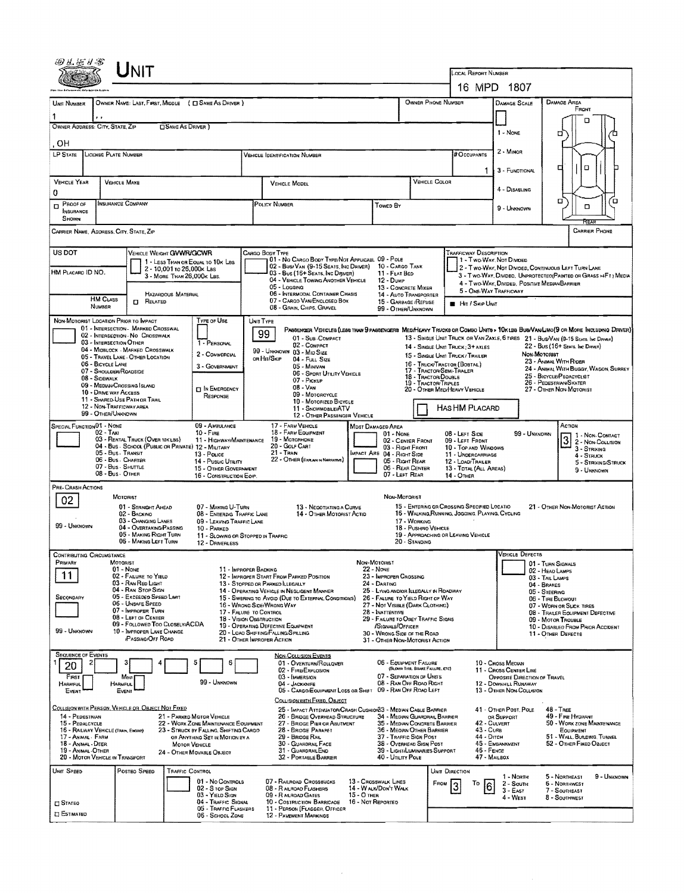|                                       | Unit                                                                                    |                                                       |                                                                                |                                                                               |                                                                                                                                            |                                                                            |                                                                             |                                                            |                                                            |                                                                               |                                                                 |                                                   |                                                                                                                        |  |  |
|---------------------------------------|-----------------------------------------------------------------------------------------|-------------------------------------------------------|--------------------------------------------------------------------------------|-------------------------------------------------------------------------------|--------------------------------------------------------------------------------------------------------------------------------------------|----------------------------------------------------------------------------|-----------------------------------------------------------------------------|------------------------------------------------------------|------------------------------------------------------------|-------------------------------------------------------------------------------|-----------------------------------------------------------------|---------------------------------------------------|------------------------------------------------------------------------------------------------------------------------|--|--|
|                                       |                                                                                         |                                                       |                                                                                |                                                                               |                                                                                                                                            |                                                                            |                                                                             |                                                            |                                                            | LOCAL REPORT NUMBER<br>16 MPD 1807                                            |                                                                 |                                                   |                                                                                                                        |  |  |
| UNIT NUMBER                           |                                                                                         |                                                       | OWNER NAME: LAST, FIRST, MIDDLE ( L SAME AS DRIVER )                           |                                                                               |                                                                                                                                            |                                                                            |                                                                             |                                                            | OWNER PHONE NUMBER                                         |                                                                               | <b>DAMAGE SCALE</b>                                             |                                                   | DAMAGE AREA                                                                                                            |  |  |
|                                       |                                                                                         |                                                       |                                                                                |                                                                               |                                                                                                                                            |                                                                            |                                                                             | FRONT                                                      |                                                            |                                                                               |                                                                 |                                                   |                                                                                                                        |  |  |
|                                       | OWNER ADDRESS: CITY, STATE, ZIP                                                         | SAME AS DRIVER )                                      |                                                                                |                                                                               |                                                                                                                                            |                                                                            |                                                                             |                                                            |                                                            | 1 - NONE                                                                      |                                                                 | o                                                 |                                                                                                                        |  |  |
| ОH                                    |                                                                                         |                                                       |                                                                                |                                                                               | о                                                                                                                                          |                                                                            |                                                                             |                                                            |                                                            |                                                                               |                                                                 |                                                   |                                                                                                                        |  |  |
| LP STATE                              | LICENSE PLATE NUMBER                                                                    |                                                       |                                                                                |                                                                               | <b>VEHICLE IDENTIFICATION NUMBER</b>                                                                                                       |                                                                            |                                                                             |                                                            |                                                            | <b>#Occupants</b>                                                             | 2 - Minon                                                       |                                                   |                                                                                                                        |  |  |
|                                       |                                                                                         |                                                       |                                                                                |                                                                               |                                                                                                                                            |                                                                            |                                                                             |                                                            |                                                            | 1.                                                                            | 3 - FUNCTIONAL                                                  |                                                   | O<br>□                                                                                                                 |  |  |
| <b>VEHICLE YEAR</b><br>0              | <b>VEHICLE MAKE</b>                                                                     |                                                       |                                                                                | <b>VEHICLE MODEL</b>                                                          |                                                                                                                                            |                                                                            |                                                                             | VEHICLE COLOR                                              |                                                            |                                                                               | 4 - Disabling                                                   |                                                   |                                                                                                                        |  |  |
| $D$ PROOF OF                          | <b>INSURANCE COMPANY</b>                                                                |                                                       |                                                                                | POLICY NUMBER<br><b>TOWED BY</b>                                              |                                                                                                                                            |                                                                            |                                                                             |                                                            |                                                            |                                                                               | 9 - Unknown                                                     |                                                   | σ<br>Έ<br>۵                                                                                                            |  |  |
| <b>INSURANCE</b><br><b>SHOWN</b>      |                                                                                         |                                                       |                                                                                |                                                                               |                                                                                                                                            |                                                                            |                                                                             |                                                            |                                                            |                                                                               |                                                                 |                                                   | Rear                                                                                                                   |  |  |
|                                       | CARRIER NAME, ADDRESS, CITY, STATE, ZIP                                                 |                                                       |                                                                                |                                                                               |                                                                                                                                            |                                                                            |                                                                             |                                                            |                                                            |                                                                               |                                                                 |                                                   | CARRIER PHONE                                                                                                          |  |  |
| US DOT                                |                                                                                         | VEHICLE WEIGHT GVWR/GCWR                              |                                                                                |                                                                               | CARGO BODY TYPE                                                                                                                            |                                                                            |                                                                             |                                                            |                                                            | Trafficway Description                                                        |                                                                 |                                                   |                                                                                                                        |  |  |
|                                       |                                                                                         | 2 - 10,001 то 26,000к Las                             | 1 - LESS THAN OR EQUAL TO 10K LBS                                              |                                                                               | 01 - No CARGO BODY TYPE/NOT APPLICABL 09 - POLE<br>02 - BUSI VAN (9-15 SEATS, INC DRIVER) 10 - CARGO TANK                                  |                                                                            |                                                                             |                                                            |                                                            | 1 - Two-Way, Not Divided                                                      |                                                                 |                                                   | 2 - T WO-WAY, NOT DIVIDED, CONTINUOUS LEFT TURN LANE                                                                   |  |  |
| HM PLACARD ID NO.                     |                                                                                         | 3 - MORE THAN 26,000K LBS.                            |                                                                                |                                                                               | 03 - Bus (16+ SEATS, INC DRIVER)<br>04 - VEHICLE TOWING ANOTHER VEHICLE                                                                    | $12 - D$ uMP                                                               | 11 - FLAT BED                                                               |                                                            |                                                            |                                                                               | 4 - Two-Way, Divided, Positive Median Barrier                   |                                                   | 3 - Two-WAY, DIVIDEO, UNPROTECTEO(PAINTED OR GRASS >4FT) MEDIA                                                         |  |  |
|                                       | <b>HM CLASS</b>                                                                         | <b>HAZARDOUS MATERIAL</b>                             |                                                                                |                                                                               | 05 LOCONG<br>06 - INTERMOOAL CONTAINER CHASIS<br>07 - CARGO VAN/ENCLOSED BOX                                                               |                                                                            |                                                                             | 13 - CONCRETE MIXER<br>14 - AUTO TRANSPORTER               |                                                            | 5 - ONE WAY TRAFFICWAY                                                        |                                                                 |                                                   |                                                                                                                        |  |  |
|                                       | NUMBER                                                                                  | <b>IT RELATED</b>                                     |                                                                                |                                                                               | 08 - GRAIN, CHIPS, GRAVEL                                                                                                                  |                                                                            |                                                                             | 15 - GARRAGE /REFUSE<br>99 - OTHER/UNKNOWN                 |                                                            | <b>HIT / SKIP UNIT</b>                                                        |                                                                 |                                                   |                                                                                                                        |  |  |
|                                       | NON-MOTORIST LOCATION PRIOR TO IMPACT<br>01 - INTERSECTION - MARKED CROSSWAL            |                                                       | <b>TYPE OF USE</b>                                                             |                                                                               | UNIT TYPE<br>PASSENGER VEHICLES (LESS THAN 9 PASSENGERS MEDIMEANY TRUCKS OR COMBO UNITS > 10K LBS BUS/VAN/LINO(9 OR MORE INCLUDING DRIVER) |                                                                            |                                                                             |                                                            |                                                            |                                                                               |                                                                 |                                                   |                                                                                                                        |  |  |
|                                       | 02 - INTERSECTION - NO CROSSWALK<br>03 - INTERSECTION OTHER                             |                                                       | 1 - PERSONAL                                                                   |                                                                               | 99<br>01 - Sub-COMPACT<br>02 - COMPACT                                                                                                     |                                                                            |                                                                             |                                                            |                                                            |                                                                               |                                                                 |                                                   | 13 - SINGLE UNIT TRUCK OR VAN ZAXLE, 6 TIRES 21 - BUS/VAN (9-15 SEATS, INC DRIVER)<br>22 - Bus (16+ Sears, Inc Direct) |  |  |
|                                       | 04 - MIDBLOCK - MARKED CROSSWALK<br>05 - TRAVEL LANE - OTHER LOCATION                   |                                                       | 2 - COMMERCIAL                                                                 |                                                                               | 99 - UNKNOWN 03 - MID SIZE<br>or Hit/Skip<br>$04 -$ Full Size                                                                              |                                                                            |                                                                             |                                                            |                                                            | 14 - SINGLE UNIT TRUCK: 3+ AXLES<br>15 - Single Unit Truck / Trailer          |                                                                 | <b><i>Non Мотопівт</i></b>                        |                                                                                                                        |  |  |
|                                       | 06 - BICYCLE LANE<br>07 - Shoulder/Roadside                                             |                                                       | 3 - Government                                                                 |                                                                               | 05 - MINIVAN<br>06 - SPDRT UTILITY VEHICLE                                                                                                 |                                                                            |                                                                             |                                                            | 17 - TRACTOR/SEMI-TRALER                                   | 16 - Truck/Tractor (Bostal)                                                   | 23 - Animal With Rider<br>24 - ANIMAL WITH BUGGY, WAGON, SURREY |                                                   |                                                                                                                        |  |  |
|                                       | 08 - SIDEWALK<br>09 - MEDIAN/CROSSING ISLAND                                            |                                                       | <b>DIN EMERGENCY</b>                                                           |                                                                               | 07 - Pickup<br>$08 - V_{AN}$                                                                                                               |                                                                            | 18 - Tractor/Double<br>19 - TRACTOR/TRIPLES<br>20 - OTHER MEDIHEAVY VEHICLE |                                                            |                                                            | 25 - BICYCLE/PEDACYCLIST<br>26 - PEDESTRIAN/SKATER<br>27 - OTHER NON-MOTORIST |                                                                 |                                                   |                                                                                                                        |  |  |
|                                       | 10 - DRIVE WAY ACCESS<br>11 - SHARED-USE PATH OR THAIL                                  |                                                       | RESPONSE                                                                       |                                                                               | 09 - MOTORCYCLE<br>10 - MOTORIZED BICYCLE                                                                                                  |                                                                            |                                                                             |                                                            |                                                            |                                                                               |                                                                 |                                                   |                                                                                                                        |  |  |
|                                       | 12 - NON-TRAFFICWAY AREA<br>99 - OTHER/UNKNOWN                                          |                                                       |                                                                                |                                                                               | 11 - SNOWMDBILE/ATV<br>12 - OTHER PASSENGER VEHICLE                                                                                        |                                                                            |                                                                             |                                                            |                                                            | Has HM Placard                                                                |                                                                 |                                                   |                                                                                                                        |  |  |
| SPECIAL FUNCTION 01 - NONE            | $02 - TAX1$                                                                             |                                                       | 09 - AMBULANCE<br>$10 -$ Fine                                                  |                                                                               | 17 - FARM VEHICLE<br>18 - FARM EQUIPMENT                                                                                                   | MOST DAMAGED AREA                                                          | $01 - None$                                                                 |                                                            |                                                            | 08 - LEFT SIDE                                                                | 99 - UNKNOWN                                                    |                                                   | ACTION<br>1 - NON-CONTACT                                                                                              |  |  |
|                                       | 03 - RENTAL TRUCK (OVER 10K LBS)<br>04 - Bus - SCHOOL (PUBLIC OR PRIVATE) 12 - MILITARY |                                                       | 11 - HIGHWAY/MAINTENANCE                                                       |                                                                               | 19 - Мотовноме<br>20 - GOLF CART                                                                                                           |                                                                            |                                                                             | 02 - CENTER FRONT<br>03 - Right Front                      |                                                            | 09 - LEFT FRONT<br>10 - TOP AND WINDOWS                                       |                                                                 |                                                   | $\boldsymbol{\beta}$<br>2 - NON-COLLISION<br>3 - STRIKING                                                              |  |  |
|                                       | 05 - Bus - Transit<br>06 - Bus Charter                                                  |                                                       | 13 - Pouce<br>14 - Pusuc Utamy                                                 | $21 -$ Tran<br>MPACT ARE 04 - RIGHT SIDE<br>22 - OTHER (EXPLAIN IN NARRATIVE) |                                                                                                                                            |                                                                            |                                                                             | 05 - Right Rear                                            |                                                            | 11 - UNDERCARRIAGE<br>12 - LOAD/TRAILER                                       | 4 - STRUCK<br>5 - STRIKING/STRUCK                               |                                                   |                                                                                                                        |  |  |
|                                       | 07 - Bus - SHUTTLE<br>08 - Bus - OTHER                                                  |                                                       | 15 - OTHER GOVERNMENT<br>16 - CONSTRUCTION EOIP                                | 06 - REAR CENTER<br>07 - LEFT REAR                                            |                                                                                                                                            |                                                                            |                                                                             |                                                            | 13 - TOTAL (ALL AREAS)<br>9 - UNKNOWN<br><b>14 - OTHER</b> |                                                                               |                                                                 |                                                   |                                                                                                                        |  |  |
| PRE- CRASH ACTIONS                    |                                                                                         |                                                       |                                                                                |                                                                               |                                                                                                                                            |                                                                            |                                                                             |                                                            |                                                            |                                                                               |                                                                 |                                                   |                                                                                                                        |  |  |
| 02                                    | MOTORIST                                                                                | 01 - STRAIGHT AHEAD                                   | 07 - MAKING U-TURN                                                             |                                                                               | 13 - NEGOTIATING A CURVE                                                                                                                   |                                                                            | NON-MOTORIST                                                                |                                                            |                                                            | 15 - ENTERING OR CROSSING SPECIFIED LOCATIO                                   |                                                                 |                                                   | 21 - OTHER NON-MOTORIST ACTION                                                                                         |  |  |
|                                       | 02 - BACKINO                                                                            | 03 - CHANGING LANES                                   | 08 - ENTERING TRAFFIC LANE<br>09 - LEAVING TRAFFIC LANE                        |                                                                               | 14 - OTHER MOTORIST ACTID                                                                                                                  |                                                                            |                                                                             | 17 - WORKING                                               |                                                            | 16 - WALKING RUNNING, JOGGING, PLAYING, CYCLING                               |                                                                 |                                                   |                                                                                                                        |  |  |
| 99 - UNKNOYIN                         |                                                                                         | 04 - OVERTAKING/PASSING<br>05 - MAKING RIGHT TURN     | 10 - PARKED<br>11 - SLOWING OR STOPPED IN TRAFFIC                              |                                                                               |                                                                                                                                            |                                                                            |                                                                             | 18 - PUSHINO VEHICLE                                       |                                                            | 19 - APPROACHING OR LEAVING VEHICLE                                           |                                                                 |                                                   |                                                                                                                        |  |  |
|                                       |                                                                                         | 06 - MAKING LEFT TURN                                 | 12 - DRIVERLESS                                                                |                                                                               |                                                                                                                                            |                                                                            |                                                                             | 20 - Standing                                              |                                                            |                                                                               | <b>VEHICLE DEFECTS</b>                                          |                                                   |                                                                                                                        |  |  |
| CONTRIBUTING CIRCUMSTANCE<br>Primary  | MOTORIST<br>$01 - None$                                                                 |                                                       | 11 - IMPROPER BACKING                                                          |                                                                               |                                                                                                                                            | NON-MOTORIST<br>22 - NONE                                                  |                                                                             |                                                            |                                                            |                                                                               |                                                                 | 01 - TURN SIGNALS                                 |                                                                                                                        |  |  |
| 11                                    | 02 - FAILURE TO YIELD<br>03 - RAN RED LIGHT                                             |                                                       |                                                                                |                                                                               | 12 - IMPROPER START FROM PARKED POSITION<br>13 - STOPPED OR PARKED LLEGALLY                                                                | 23 - IMPROPER CROSSING<br>24 - DARTING                                     |                                                                             |                                                            |                                                            |                                                                               |                                                                 | 02 - HEAD LAMPS<br>03 - TAIL LAMPS                |                                                                                                                        |  |  |
| SECONDARY                             | 04 - RAN STOP SIGN                                                                      | 05 - Exceeded Speed Limit                             |                                                                                |                                                                               | 14 - OPERATING VEHICLE IN NEGLIGENT MANNER<br>15 - SWERING TO AVOID (DUE TO EXTERNAL CONDITIONS)                                           | 25 - LYING ANDIOR LLEGALLY IN ROADWAY<br>26 - FALURE TO YIELD RIGHT OF WAY |                                                                             |                                                            |                                                            |                                                                               |                                                                 | 04 - BRAKES<br>05 - STEERING<br>06 - TIRE BLOWOUT |                                                                                                                        |  |  |
|                                       | 06 - UNSAFE SPEED<br>07 - IMPROPER TURN                                                 |                                                       | 17 - FALURE TO CONTROL                                                         |                                                                               | 16 - WRONG SIDE WRONG WAY                                                                                                                  | 27 - NOT VISIBLE (DARK CLOTHING)<br>28 - INATTENTIVE                       |                                                                             |                                                            |                                                            |                                                                               |                                                                 |                                                   | 07 - WORN OR SLICK TIRES<br>08 - TRAILER EQUIPMENT DEFECTIVE                                                           |  |  |
|                                       | 08 - LEFT OF CENTER                                                                     | 09 - FOLLOWED TOO CLOSELY/ACDA                        | 18 - VISION OBSTRUCTION                                                        |                                                                               | 19 - OPERATING DEFECTIVE EQUIPMENT                                                                                                         | 29 - FAILURE TO OBEY TRAFFIC SIGNS<br>/SIGNALS/OFFICER                     |                                                                             |                                                            |                                                            | 09 - MOTOR TROUBLE<br>10 - DISABLED FROM PRIOR ACCIDENT                       |                                                                 |                                                   |                                                                                                                        |  |  |
| 99 - UNKNOWN                          |                                                                                         | 10 - IMPROPER LANE CHANGE<br><b>/PASSING/OFF ROAD</b> |                                                                                |                                                                               | 20 - LOAO SHIFTING/FALLING/SPILLING<br>21 - OTHER IMPROPER ACTION                                                                          | 30 - WRONG SIDE OF THE ROAD<br>31 - OTHER NON-MOTORIST ACTION              |                                                                             |                                                            |                                                            |                                                                               |                                                                 |                                                   | 11 - OTHER DEFECTS                                                                                                     |  |  |
| <b>SEQUENCE OF EVENTS</b>             |                                                                                         |                                                       |                                                                                |                                                                               | <b>NON-COLLISION EVENTS</b>                                                                                                                |                                                                            |                                                                             |                                                            |                                                            |                                                                               |                                                                 |                                                   |                                                                                                                        |  |  |
| 2<br>20                               |                                                                                         |                                                       | 5<br>6                                                                         |                                                                               | 01 - OVERTURN/ROLLOVER<br>02 - FIRE/EXPLOSION                                                                                              |                                                                            |                                                                             | 06 - EQUIPMENT FAILURE<br>(SLOWN TIRE, BRAKE FAILURE, ETC) |                                                            |                                                                               | 10 - Cross Median<br>11 - CROSS CENTER LINE                     |                                                   |                                                                                                                        |  |  |
| FIRST<br>HARMFUL                      | Most<br>HARMFUL                                                                         |                                                       | 99 - Unknown                                                                   |                                                                               | 03 - IMMERSION<br>04 - JACKKNIFE                                                                                                           |                                                                            |                                                                             | 07 - SEPARATION OF UNITS<br>08 - RAN OFF ROAD RIGHT        |                                                            |                                                                               | OPPOSITE DIRECTION OF TRAVEL<br>12 - DOWNHEL RUNAWAY            |                                                   |                                                                                                                        |  |  |
| EVENT                                 | EVENT                                                                                   |                                                       |                                                                                |                                                                               | 05 - CARGO/EQUIPMENT LOSS OR SHIFT 09 - RAN OFF ROAD LEFT<br>COLLISION WITH FIXED, OBJECT                                                  |                                                                            |                                                                             |                                                            |                                                            |                                                                               | 13 - OTHER NON-COLLISION                                        |                                                   |                                                                                                                        |  |  |
| 14 - PEDESTRIAN                       | COLLISION WITH PERSON, VEHICLE OR OBJECT NOT FIXED                                      |                                                       | 21 - PARKED MOTOR VEHICLE                                                      |                                                                               | 25 - IMPACT ATTENUATOR/CRASH CUSHION33 - MEDIAN CABLE BARRIER<br>26 - BRIDGE OVERHEAD STRUCTURE                                            |                                                                            |                                                                             |                                                            | 34 - MEDIAN GUARDRAIL BARRIER                              |                                                                               | 41 - OTHER POST, POLE<br>OR SUPPORT                             |                                                   | <b>48 - TREE</b><br>49 - FIRE HYDRANT                                                                                  |  |  |
| 15 - PEDALCYCLE                       | 16 - RAILWAY VEHICLE (TRAN, ENGINE)                                                     |                                                       | 22 - WORK ZONE MAINTENANCE EQUIPMENT<br>23 - STRUCK BY FALLING, SHIFTING CARGO |                                                                               | 27 - BRIOGE PIER OR ABUTMENT<br>28 - BRIDGE PARAPET                                                                                        |                                                                            |                                                                             | 36 - MEORN OTHER BARRIER                                   | 35 - MEDIAN CONCRETE BARRIER                               | 42 - CULVERT<br>43 - Curs                                                     |                                                                 |                                                   | 50 - WORK ZONE MAINTENANCE<br>EQUIPMENT                                                                                |  |  |
| 17 - ANMAL - FARM<br>18 - ANIMAL DEER |                                                                                         |                                                       | OR ANYTHING SET IN MOTION BY A<br>MOTOR VEHICLE                                |                                                                               | 29 - BRIDGE RAIL<br>30 - GUARDRAIL FACE                                                                                                    |                                                                            |                                                                             | 37 - TRAFFIC SIGN POST<br>38 - Overhead Sign Post          |                                                            | 44 - Опен                                                                     | 45 - EMBANKMENT                                                 |                                                   | 51 - WALL, BUILDING, TUNNEL<br>52 - Отнев Риер Овлест                                                                  |  |  |
| 19 - ANIMAL-OTHER                     | 20 - MOTOR VEHICLE IN TRANSPORT                                                         |                                                       | 24 - OTHER MOVABLE OBJECT                                                      |                                                                               | 31 - GUARDRAILEND<br>32 - PORTABLE BARRIER                                                                                                 |                                                                            | 40 - UTILITY POLE                                                           |                                                            | 39 - LIGHT/LUMINARIES SUPPORT                              | 46 - FENCE<br>47 - MAILBOX                                                    |                                                                 |                                                   |                                                                                                                        |  |  |
| UNIT SPEED                            | Posteo Speed                                                                            |                                                       | <b>TRAFFIC CONTROL</b>                                                         |                                                                               |                                                                                                                                            |                                                                            |                                                                             |                                                            | UNIT DIRECTION                                             |                                                                               |                                                                 |                                                   | 5 - NORTHEAST<br>9 - UNKNOWN                                                                                           |  |  |
|                                       |                                                                                         |                                                       | 01 - No Contrious<br>02 - S TOP SIGN                                           |                                                                               | 07 - RAILROAD CROSSBUCKS<br>08 - RAILROAD FLASHERS                                                                                         | 13 - Crosswalk Lines<br>14 - WALN/DON'T WALK                               |                                                                             |                                                            | FROM<br>3                                                  | To<br>6                                                                       | 1 - North<br>2 - South<br>$3 - E$ AST                           |                                                   | 6 - NORTHWEST<br>7 - SOUTHEAST                                                                                         |  |  |
| $\Box$ Stateo                         |                                                                                         |                                                       | 03 - YIELD SIGN<br>04 - TRAFFIC SIGNAL                                         |                                                                               | 09 - RAILROAD GATES<br>10 - COSTRUCTION BARRICADE                                                                                          | 15 - О тнев<br>16 - Not Reported                                           |                                                                             |                                                            |                                                            |                                                                               | 4 - West                                                        |                                                   | 8 - SOUTHWEST                                                                                                          |  |  |
| ESTIMATED                             |                                                                                         |                                                       | 05 - TRAFFIC FLASHERS<br>06 - SCHOOL ZONE                                      |                                                                               | 11 - PERSON (FLAGGER, OFFICER<br>12 - PAVEMENT MARKINGS                                                                                    |                                                                            |                                                                             |                                                            |                                                            |                                                                               |                                                                 |                                                   |                                                                                                                        |  |  |

 $\sim$   $\sim$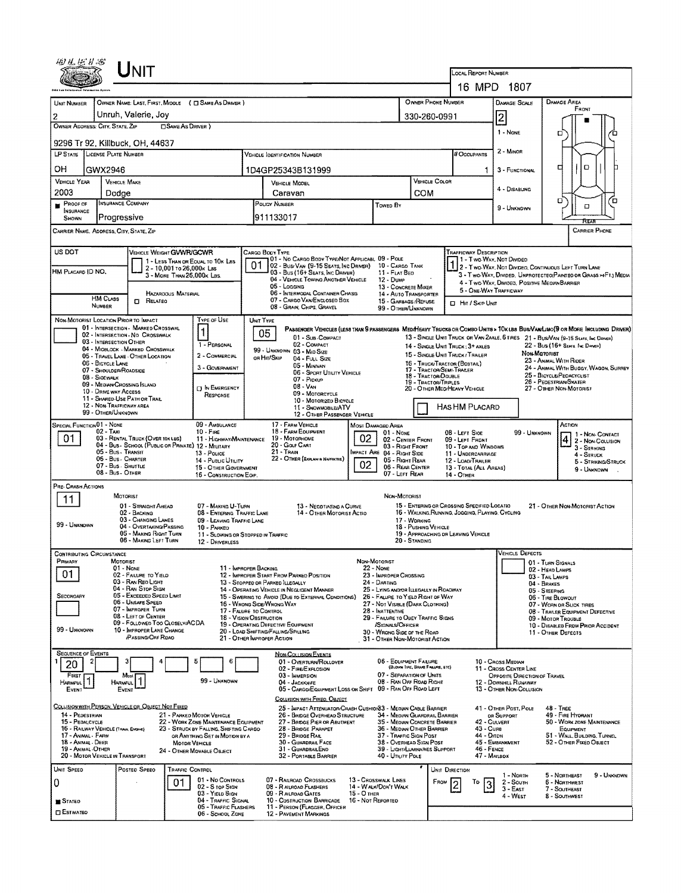| 田見伝りる                                                                                                                                    |                                          | <b>NIT</b>                                                            |                            |                                                                                |    |                                                                                                                                                         |                                                                                              |                                                                       |                    |                                                  |                                                                                    |                                                                                                                   |                                                                                            |                                                         |                      |  |  |  |
|------------------------------------------------------------------------------------------------------------------------------------------|------------------------------------------|-----------------------------------------------------------------------|----------------------------|--------------------------------------------------------------------------------|----|---------------------------------------------------------------------------------------------------------------------------------------------------------|----------------------------------------------------------------------------------------------|-----------------------------------------------------------------------|--------------------|--------------------------------------------------|------------------------------------------------------------------------------------|-------------------------------------------------------------------------------------------------------------------|--------------------------------------------------------------------------------------------|---------------------------------------------------------|----------------------|--|--|--|
|                                                                                                                                          |                                          |                                                                       |                            |                                                                                |    |                                                                                                                                                         |                                                                                              |                                                                       |                    |                                                  | <b>LOCAL REPORT NUMBER</b><br>16 MPD 1807                                          |                                                                                                                   |                                                                                            |                                                         |                      |  |  |  |
|                                                                                                                                          |                                          |                                                                       |                            |                                                                                |    |                                                                                                                                                         |                                                                                              |                                                                       |                    |                                                  |                                                                                    |                                                                                                                   |                                                                                            |                                                         |                      |  |  |  |
| UNIT NUMBER                                                                                                                              |                                          |                                                                       |                            | OWNER NAME: LAST, FIRST, MIDDLE ( C SAME AS DRIVER )                           |    |                                                                                                                                                         |                                                                                              |                                                                       | OWNER PHONE NUMBER |                                                  | <b>DAMAGE SCALE</b>                                                                |                                                                                                                   | DAMAGE AREA<br>FRONT                                                                       |                                                         |                      |  |  |  |
| OWNER ADDRESS: CITY, STATE, ZIP                                                                                                          |                                          | Unruh, Valerie, Joy                                                   | <b>CISAME AS DRIVER</b> )  |                                                                                |    |                                                                                                                                                         |                                                                                              |                                                                       | 330-260-0991       |                                                  | $\overline{2}$                                                                     |                                                                                                                   |                                                                                            |                                                         |                      |  |  |  |
|                                                                                                                                          |                                          |                                                                       |                            |                                                                                |    |                                                                                                                                                         |                                                                                              |                                                                       |                    |                                                  |                                                                                    |                                                                                                                   |                                                                                            | а                                                       | ם                    |  |  |  |
| 9296 Tr 92, Killbuck, OH, 44637<br>LP STATE LICENSE PLATE NUMBER<br><b>VEHICLE IDENTIFICATION NUMBER</b>                                 |                                          |                                                                       |                            |                                                                                |    |                                                                                                                                                         |                                                                                              |                                                                       |                    |                                                  |                                                                                    | 2 - Minor                                                                                                         |                                                                                            |                                                         |                      |  |  |  |
|                                                                                                                                          |                                          |                                                                       |                            |                                                                                |    |                                                                                                                                                         |                                                                                              |                                                                       |                    |                                                  | # Occupants                                                                        |                                                                                                                   |                                                                                            | O<br>о                                                  |                      |  |  |  |
| OН<br><b>VEHICLE YEAR</b>                                                                                                                | GWX2946<br><b>VEHICLE MAKE</b>           |                                                                       |                            |                                                                                |    | 1D4GP25343B131999                                                                                                                                       |                                                                                              |                                                                       |                    | VEHICLE COLOR                                    | 1                                                                                  | 3 - FUNCTIONAL                                                                                                    |                                                                                            |                                                         |                      |  |  |  |
| 2003                                                                                                                                     | Dodge                                    |                                                                       |                            |                                                                                |    | VEHICLE MODEL<br>Caravan                                                                                                                                |                                                                                              |                                                                       |                    | COM                                              |                                                                                    | 4 - DISABLING                                                                                                     |                                                                                            |                                                         |                      |  |  |  |
| PROOF OF                                                                                                                                 | INSURANCE COMPANY                        |                                                                       |                            |                                                                                |    | POLICY NUMBER<br>Towed By                                                                                                                               |                                                                                              |                                                                       |                    |                                                  |                                                                                    | 9 - UNKNOWN                                                                                                       |                                                                                            | о<br>O                                                  | Έ                    |  |  |  |
| INSURANCE<br>SHOWN                                                                                                                       | Progressive                              |                                                                       |                            |                                                                                |    | 911133017                                                                                                                                               |                                                                                              |                                                                       |                    |                                                  |                                                                                    |                                                                                                                   |                                                                                            | দিয়ে                                                   |                      |  |  |  |
| CARRIER NAME, ADDRESS, CITY, STATE, ZIP                                                                                                  |                                          |                                                                       |                            |                                                                                |    |                                                                                                                                                         |                                                                                              |                                                                       |                    |                                                  |                                                                                    |                                                                                                                   |                                                                                            |                                                         | <b>CARRIER PHONE</b> |  |  |  |
| US DOT                                                                                                                                   |                                          | VEHICLE WEIGHT GVWR/GCWR                                              |                            |                                                                                |    | Cargo Body Type                                                                                                                                         |                                                                                              |                                                                       |                    |                                                  | TRAFFICWAY DESCRIPTION                                                             |                                                                                                                   |                                                                                            |                                                         |                      |  |  |  |
|                                                                                                                                          |                                          |                                                                       | 2 - 10,001 To 26,000x Las  | 1 - LESS THAN OR EQUAL TO 10K LBS                                              | 01 | 01 - No CARGO BODY TYPE/NOT APPLICABL 09 - POLE<br>02 - BUSI VAN (9-15 SEATS, INC DRIVER) 10 - CARGO TANK                                               |                                                                                              |                                                                       |                    |                                                  |                                                                                    | 1 - Two Way, Not Divideo<br>2 - Two-Way, Not Divideo, Continuous LEFT TURN LANE                                   |                                                                                            |                                                         |                      |  |  |  |
| HM PLACARD ID NO.                                                                                                                        |                                          |                                                                       | 3 - MORE THAN 26,000K LBS. |                                                                                |    | 03 - Bus (16+ Seats, Inc Driver)<br>04 - VEHICLE TOWING ANOTHER VEHICLE                                                                                 |                                                                                              | 11 - FLAT BED<br>12 - Duse                                            |                    |                                                  |                                                                                    | 3 - Two-WAY, DIVIDED. UNPROTECTED (PAINTED OR GRASS >4FT.) MEDIA<br>4 - Two-Way, Divideo, Positive Median Barrier |                                                                                            |                                                         |                      |  |  |  |
|                                                                                                                                          |                                          |                                                                       | <b>HAZAROOUS MATERIAL</b>  |                                                                                |    | 05 - Logging<br>06 - INTERMODAL CONTAINER CHASIS                                                                                                        |                                                                                              | 13 - CONCRETE MIXER<br>14 - AUTO TRANSPORTER                          |                    |                                                  | 5 - ONE WAY TRAFFICWAY                                                             |                                                                                                                   |                                                                                            |                                                         |                      |  |  |  |
|                                                                                                                                          | <b>HM CLASS</b><br><b>NUMBER</b>         | $\Box$ Related                                                        |                            |                                                                                |    | 07 - CARGO VAN/ENGLOSED BOX<br>08 - GRAIN, CHIPS, GRAVEL                                                                                                |                                                                                              | 15 - GARBAGE /REFUSE<br>99 - OTHER/UNKNOWN                            |                    |                                                  | <b>El Hit / Skip Unit</b>                                                          |                                                                                                                   |                                                                                            |                                                         |                      |  |  |  |
| NON-MOTORIST LOCATION PRIOR TO IMPACT                                                                                                    |                                          |                                                                       |                            | Type of Use                                                                    |    | UNIT TYPE                                                                                                                                               |                                                                                              |                                                                       |                    |                                                  |                                                                                    |                                                                                                                   |                                                                                            |                                                         |                      |  |  |  |
|                                                                                                                                          |                                          | 01 - INTERSECTION MARKED CROSSWAL<br>02 - INTERSECTION - NO CROSSWALK |                            | $\mathbf{1}$                                                                   |    | PASSENGER VEHICLES (LESS THAN 9 PASSENGERS MEDIHEAVY TRUCKS OR COMBO UNITS > TOK LES BUS/VAN/LIMO(9 OR MORE INCLUDING DRIVER)<br>05<br>01 - Sub-COMPACT |                                                                                              |                                                                       |                    |                                                  | 13 - SINGLE UNIT TRUCK OR VAN 2AXLE, 6 TIRES 21 - BUS/VAN (9-15 SEATS, INC DRIVER) |                                                                                                                   |                                                                                            |                                                         |                      |  |  |  |
|                                                                                                                                          | 03 - INTERSECTION OTHER                  | 04 - MIDBLOCK - MARKED CROSSWALK                                      |                            | 1 - PERSONAL                                                                   |    | 02 - COMPACT<br>99 - UNKNOWN 03 - MID SIZE                                                                                                              |                                                                                              |                                                                       |                    |                                                  | 14 - SINGLE UNIT TRUCK: 3+ AXLES                                                   |                                                                                                                   | Non-Matorist                                                                               | 22 - Bus (16+ Seats, Inc. Driver)                       |                      |  |  |  |
|                                                                                                                                          | 06 - BICYCLE LANE                        | 05 - TRAVEL LANE - OTHER LOCATION                                     |                            | 2 - COMMERCIAL<br>3 - GOVERNMENT                                               |    | OR HIT/SKIP<br>04 - FULL SIZE<br>05 - MINIVAN                                                                                                           |                                                                                              |                                                                       |                    |                                                  | 15 - SINGLE UNIT TRUCK / TRAILER<br>16 - TRUCK/TRACTOR (BOSTAIL)                   |                                                                                                                   |                                                                                            | 23 - ANMAL WITH RIDER                                   |                      |  |  |  |
|                                                                                                                                          | 07 - SHOULDER/ROADSIDE<br>08 - SIOEWALK  |                                                                       |                            |                                                                                |    | 06 - Sport Utility Vehicle<br>07 - Pickup                                                                                                               |                                                                                              |                                                                       |                    | 17 - TRACTOR/SEMI-TRAILER<br>18 - Tractor/Double |                                                                                    |                                                                                                                   | 24 - ANNAL WITH BUGGY, WAGON, SURREY<br>25 - BICYCLE/PEDACYCLIST<br>26 - Pedestrian/Skater |                                                         |                      |  |  |  |
|                                                                                                                                          | 10 - DRNE WAY ACCESS                     | 09 - MEDIAN CROSSING ISLAND                                           |                            | <b>DIN EMERGENCY</b>                                                           |    | 19 - TRACTOR/TRIPLES<br>$08 - V_{AN}$<br>09 - MOTORCYCLE                                                                                                |                                                                                              |                                                                       |                    |                                                  | 20 - OTHER MEDIHEAVY VEHICLE                                                       | 27 - OTHER NON-MOTORIST                                                                                           |                                                                                            |                                                         |                      |  |  |  |
| RESPONSE<br>11 - SHARED-USE PATH OR TRAIL<br>10 - Motorizeo Bicycle<br>12 - NON-TRAFFICWAY AREA<br>HAS HM PLACARD<br>11 - SNOWMOBILE/ATV |                                          |                                                                       |                            |                                                                                |    |                                                                                                                                                         |                                                                                              |                                                                       |                    |                                                  |                                                                                    |                                                                                                                   |                                                                                            |                                                         |                      |  |  |  |
|                                                                                                                                          | 99 - OTHER/UNKNOWN                       |                                                                       |                            |                                                                                |    |                                                                                                                                                         | 12 - OTHER PASSENGER VEHICLE                                                                 |                                                                       |                    |                                                  |                                                                                    |                                                                                                                   |                                                                                            |                                                         |                      |  |  |  |
| SPECIAL FUNCTION 01 - NONE<br>01                                                                                                         | 02 - Tax.                                | 03 - RENTAL TRUCK (OVER 10K LBS)                                      |                            | 09 - AMBULANCE<br>$10 - F_{IRE}$<br>11 - HIGHWAY/MAINTENANCE                   |    | 17 - FARM VEHICLE<br>18 - FARM EQUIPMENT<br>19 - Мотовноме                                                                                              | 02                                                                                           | <b>MOST DAMAGED AREA</b><br>$01 - None$<br>02 - CENTER FRONT          |                    |                                                  | 08 - LEFT SIDE                                                                     |                                                                                                                   | 99 - Unknown                                                                               | ACTION                                                  | 1 - Non-Contact      |  |  |  |
|                                                                                                                                          | 05 - Bus - Transit                       | 04 - Bus - SCHOOL (PUBLIC OR PRAVATE) 12 - MILITARY                   |                            |                                                                                |    | 20 - Golf Cart<br>03 - RIGHT FRONT<br>21 - Train<br>Impact Are                                                                                          |                                                                                              |                                                                       |                    |                                                  | 09 - LEFT FRONT<br>10 - Top and Windows                                            |                                                                                                                   |                                                                                            | 2 - Now Coursion<br>$3 -$ Striking                      |                      |  |  |  |
|                                                                                                                                          | 05 - Bus - Charter<br>07 - Bus - Shuttle |                                                                       |                            | 13 - Pouce<br>14 - Pusuc Unurv                                                 |    | 22 - OTHER (EXPLAN IN NAPRATIVE)                                                                                                                        | 02                                                                                           | 04 - RIGHT SIDE<br>05 - Right Rear                                    |                    |                                                  | 11 - UNDERCARRIAGE<br>12 - LOAD/TRAILER                                            |                                                                                                                   |                                                                                            | 4 - STRUCK                                              | 5 - STRIKING/STRUCK  |  |  |  |
|                                                                                                                                          | 08 - Bus - OTHER                         |                                                                       |                            | 15 - OTHER GOVERNMENT<br>16 - CONSTRUCTION EGIP.                               |    |                                                                                                                                                         |                                                                                              | 06 - REAR CENTER<br>07 - LEFT REAR                                    |                    |                                                  | 13 - TOTAL (ALL AREAS)<br>14 - OTHER                                               |                                                                                                                   |                                                                                            |                                                         | 9 - Unknown          |  |  |  |
| PRE-CRASH ACTIONS                                                                                                                        |                                          | MOTORIST                                                              |                            |                                                                                |    |                                                                                                                                                         |                                                                                              | NON-MOTORIST                                                          |                    |                                                  |                                                                                    |                                                                                                                   |                                                                                            |                                                         |                      |  |  |  |
| 11                                                                                                                                       |                                          | 01 - STRAIGHT AHEAD                                                   |                            | 07 - Making U-Turn                                                             |    | 13 - NEGOTIATING A CURVE                                                                                                                                |                                                                                              |                                                                       |                    |                                                  | 15 - ENTERING OR CROSSING SPECIFIED LOCATIO                                        |                                                                                                                   |                                                                                            | 21 - OTHER NON-MOTORIST ACTION                          |                      |  |  |  |
|                                                                                                                                          |                                          | 02 - Backing<br>03 - CHANGING LANES                                   |                            | 08 - Entering Traffic Lane<br>09 - LEAVING TRAFFIC LANE                        |    |                                                                                                                                                         | 14 - OTHER MOTORIST ACTIO                                                                    |                                                                       | 17 WORKING         |                                                  | 16 - WALKING, RUNNING, JOGGING, PLAYING, CYCLING                                   |                                                                                                                   |                                                                                            |                                                         |                      |  |  |  |
| 99 - UNKNOWN                                                                                                                             |                                          | 04 - OVERTAKING/PASSING<br>05 - MAKING RIGHT TURN                     |                            | 10 - PARKED<br>11 - SLOWING OR STOPPED IN TRAFFIC                              |    |                                                                                                                                                         |                                                                                              |                                                                       |                    | 18 - PUSHING VEHICLE                             | 19 - APPROACHING OR LEAVING VEHICLE                                                |                                                                                                                   |                                                                                            |                                                         |                      |  |  |  |
|                                                                                                                                          |                                          | 06 - MAKING LEFT TURN                                                 |                            | 12 - DRIVERLESS                                                                |    |                                                                                                                                                         |                                                                                              |                                                                       | 20 - STANDING      |                                                  |                                                                                    |                                                                                                                   |                                                                                            |                                                         |                      |  |  |  |
| <b>CONTRIBUTING CIRCUMSTANCE</b><br>PRIMARY                                                                                              | MOTORIST                                 |                                                                       |                            |                                                                                |    |                                                                                                                                                         |                                                                                              | NON-MOTORIST                                                          |                    |                                                  |                                                                                    | <b>VEHICLE DEFECTS</b>                                                                                            | 01 - TURN SIGNALS                                                                          |                                                         |                      |  |  |  |
| 01                                                                                                                                       |                                          | 01 - NONE<br>02 - FAILURE TO YIELD                                    |                            | 11 - IMPROPER BACKING                                                          |    | 12 - IMPROPER START FROM PARKED POSITION                                                                                                                |                                                                                              | 22 - None<br>23 - IMPROPER CROSSING                                   |                    |                                                  |                                                                                    |                                                                                                                   | 02 - HEAD LAMPS<br>03 - Tail Lamps                                                         |                                                         |                      |  |  |  |
|                                                                                                                                          |                                          | 03 - RAN RED LIGHT<br>04 - RAN STOP SIGN                              |                            |                                                                                |    | 13 - Stopped on Parked LLEGALLY<br>14 - OPERATING VEHICLE IN NEGLIGENT MANNER                                                                           | 24 - DARTING<br>25 - LYING ANDIOR ILLEGALLY IN ROADWAY                                       |                                                                       |                    |                                                  |                                                                                    |                                                                                                                   | 04 - BRAKES<br>05 - STEERING                                                               |                                                         |                      |  |  |  |
| <b>SECONOARY</b>                                                                                                                         |                                          | 05 - Exceeded Speed Limit<br>06 - UNSAFE SPEED                        |                            |                                                                                |    | 15 - Swering to Avoid (Due to External Conditions)<br>16 - WRONG SIDE/WRONG WAY                                                                         |                                                                                              | 26 - FALURE TO YIELD RIGHT OF WAY<br>27 - Not Visible (Dark Clothing) |                    |                                                  |                                                                                    |                                                                                                                   | 06 - TIRE BLOWOUT                                                                          | 07 - WORN OR SLICK TIRES                                |                      |  |  |  |
|                                                                                                                                          |                                          | 07 - IMPROPER TURN<br>08 - LEFT OF CENTER                             |                            | 17 - FALURE TO CONTROL                                                         |    | 28 - INATTENTIVE<br>29 - FAILURE TO OBEY TRAFFIC SIGNS<br>18 - VISION OBSTRUCTION                                                                       |                                                                                              |                                                                       |                    |                                                  |                                                                                    |                                                                                                                   | 08 - TRAILER EQUIPMENT DEFECTIVE<br>09 - MOTOR TROUBLE                                     |                                                         |                      |  |  |  |
| 99 - UNKNOWN                                                                                                                             |                                          | 09 - Followed Too Closelv/ACDA<br>10 - IMPROPER LANE CHANGE           |                            |                                                                                |    | 19 - OPERATING DEFECTIVE EQUIPMENT<br>20 - LOAD SHIFTING/FALLING/SPILLING                                                                               |                                                                                              | /SIGNALS/OFFICER<br>30 - WRONG SIDE OF THE ROAD                       |                    |                                                  |                                                                                    |                                                                                                                   |                                                                                            | 10 - DISABLED FROM PRIOR ACCIDENT<br>11 - OTHER DEFECTS |                      |  |  |  |
|                                                                                                                                          |                                          | <b>(PASSING/OFF RDAO)</b>                                             |                            |                                                                                |    | 21 - OTHER IMPROPER ACTION                                                                                                                              |                                                                                              | 31 - OTHER NON-MOTORIST ACTION                                        |                    |                                                  |                                                                                    |                                                                                                                   |                                                                                            |                                                         |                      |  |  |  |
| <b>SEQUENCE OF EVENTS</b><br>2                                                                                                           |                                          | 3                                                                     |                            | 5<br>6                                                                         |    | <b>NON-COLLISION EVENTS</b><br>01 - OVERTURN/ROLLOVER                                                                                                   |                                                                                              | 06 - EQUIPMENT FAILURE                                                |                    |                                                  |                                                                                    | 10 - CROSS MEDIAN                                                                                                 |                                                                                            |                                                         |                      |  |  |  |
| 20<br>FIRST                                                                                                                              |                                          | Most                                                                  |                            |                                                                                |    | 02 - FIRE/EXPLOSION<br>03 - IMMERSION                                                                                                                   |                                                                                              | 07 - SEPARATION OF UNITS                                              |                    | (BLOWN TIRE, BRAKE FAILURE, ETC)                 |                                                                                    | 11 - Cross Center Line<br>OPPOSITE DIRECTION OF TRAVEL                                                            |                                                                                            |                                                         |                      |  |  |  |
| <b>HARMFUL</b><br><b>EVENT</b>                                                                                                           | <b>HARMFUL</b>                           | EVENT                                                                 |                            | 99 - Unknown                                                                   |    | 04 - JACKKNIFE<br>05 - CARGO/EQUIPMENT LOSS OR SHIFT                                                                                                    |                                                                                              | 08 - RAN OFF ROAD RIGHT<br>09 - RAN OFF ROAD LEFT                     |                    |                                                  |                                                                                    | 12 - DOWNHEL RUNAWAY<br>13 - OTHER NON-COLLISION                                                                  |                                                                                            |                                                         |                      |  |  |  |
|                                                                                                                                          |                                          |                                                                       |                            |                                                                                |    | COLLISION WITH FIXED, OBJECT                                                                                                                            |                                                                                              |                                                                       |                    |                                                  |                                                                                    |                                                                                                                   |                                                                                            |                                                         |                      |  |  |  |
| COLLISION WITH PERSON, VEHICLE OR OBJECT NOT FIXED<br>14 - PEDESTRIAN                                                                    |                                          |                                                                       |                            | 21 - PARKED MOTOR VEHICLE                                                      |    | 25 - IMPACT ATTENUATOR/CRASH CUSHION33 - MEDIAN CABLE BARRIER<br>26 - BRIDGE OVERHEAD STRUCTURE                                                         |                                                                                              | 34 - MEDIAN GUARDRAIL BARRIER                                         |                    |                                                  |                                                                                    | 41 - OTHER POST, POLE<br>OR SUPPORT                                                                               |                                                                                            | <b>48 - TREE</b><br>49 - FIRE HYORANT                   |                      |  |  |  |
| 15 - PEDALCYCLE<br>16 - RAILWAY VEHICLE (TRAN. ENGINE)                                                                                   |                                          |                                                                       |                            | 22 - WORK ZONE MAINTENANCE EQUIPMENT<br>23 - STRUCK BY FALLING, SHIFTING CARGO |    | 27 - BRIDGE PIER OR ABUTMENT<br>28 - BRIDGE PARAPET                                                                                                     |                                                                                              | 35 - Median Concrete Barrier<br>36 - MEDIAN OTHER BARRIER             |                    |                                                  | 42 - CULVERT<br>43 - Cura                                                          |                                                                                                                   | 50 - WORK ZONE MAINTENANCE<br>EQUIPMENT                                                    |                                                         |                      |  |  |  |
| 17 - ANIMAL - FARM<br>18 - Anmal - DEER                                                                                                  |                                          |                                                                       | <b>MOTOR VEHICLE</b>       | OR ANYTHING SET IN MOTION BY A                                                 |    |                                                                                                                                                         | 29 - BRIDGE RAIL<br>37 - TRAFFIC SIGN POST<br>30 - GUARDRAIL FACE<br>38 - OVERHEAD SIGN POST |                                                                       |                    |                                                  |                                                                                    | 44 - Олсн<br>51 - WALL, BULDING, TUNNEL<br>45 - EMBANKMENT<br>52 - OTHER FIXED OBJECT                             |                                                                                            |                                                         |                      |  |  |  |
| 19 - ANIMAL-OTHER<br>20 - MOTOR VEHICLE IN TRANSPORT                                                                                     |                                          |                                                                       |                            | 24 - OTHER MOVABLE OBJECT                                                      |    | 31 - GUARDRAILEND<br>32 - PORTABLE BARRIER                                                                                                              |                                                                                              | 39 - LIGHT/LUMINARIES SUPPORT<br>40 - UTILITY POLE                    |                    |                                                  | 46 - FENCE                                                                         | 47 - MAILBOX                                                                                                      |                                                                                            |                                                         |                      |  |  |  |
| UNIT SPEED                                                                                                                               |                                          | Posteo Speeo                                                          | TRAFFIC CONTROL            |                                                                                |    |                                                                                                                                                         |                                                                                              |                                                                       |                    | UNIT DIRECTION                                   |                                                                                    | 1 - North                                                                                                         |                                                                                            | 5 - NORTHEAST                                           | 9 - UNKNDWN          |  |  |  |
| 0                                                                                                                                        |                                          |                                                                       | 01                         | 01 - No CONTROLS<br>02 - S rop Sign                                            |    | 07 - RAILROAD CROSSBUCKS<br>08 - R AILRDAD FLASHERS                                                                                                     |                                                                                              | 13 - Crosswalk Lines<br>14 - WALK/DON'T WALK                          |                    | FROM                                             | To<br>3                                                                            | 2 - South<br>$3 - EAST$                                                                                           |                                                                                            | 6 - NORTHWEST<br>7 - Southeast                          |                      |  |  |  |
| STATED                                                                                                                                   |                                          |                                                                       |                            | 03 - Yield Sign<br>04 - Traffic Signal                                         |    | 09 - RAILRDAD GATES<br>10 - COSTRUCTION BARRICADE                                                                                                       | 15 - О тнея                                                                                  | 16 - Not Reported                                                     |                    |                                                  |                                                                                    | 4 - West                                                                                                          |                                                                                            | 8 - SOUTHWEST                                           |                      |  |  |  |
| <b>ESTIMATEO</b>                                                                                                                         |                                          |                                                                       |                            | 05 - TRAFFIC FLASHERS<br>06 - SCHOOL ZONE                                      |    | 11 - PERSON (FLAGGER, OFFICER<br>12 - PAVEMENT MARKINGS                                                                                                 |                                                                                              |                                                                       |                    |                                                  |                                                                                    |                                                                                                                   |                                                                                            |                                                         |                      |  |  |  |